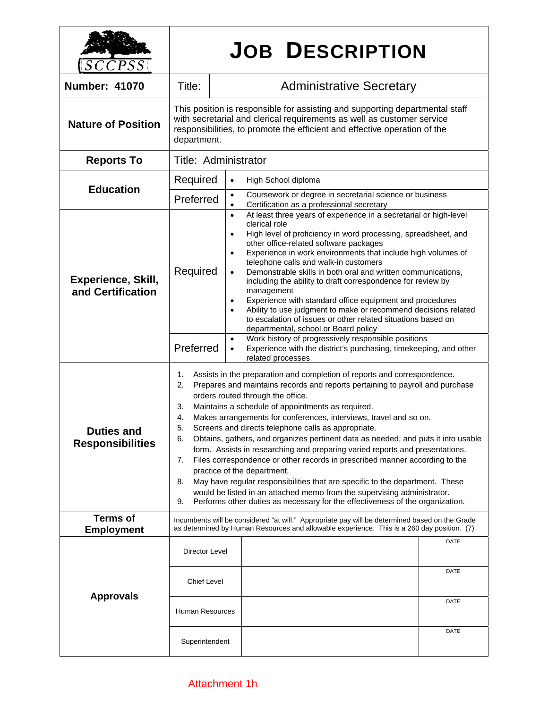| SCCPSS                                       |                                                                                                                                                                                                                                                                                                                                                                                                                                                                                                                                                                                                                                                                                                                                                                                                                                                                                                                                                                                           | <b>JOB DESCRIPTION</b>                                                                                                                                                                                                                                                                                                                                                                                                                                                                                                                                                                                                                                                                                                                                                                                                                                                                                                         |
|----------------------------------------------|-------------------------------------------------------------------------------------------------------------------------------------------------------------------------------------------------------------------------------------------------------------------------------------------------------------------------------------------------------------------------------------------------------------------------------------------------------------------------------------------------------------------------------------------------------------------------------------------------------------------------------------------------------------------------------------------------------------------------------------------------------------------------------------------------------------------------------------------------------------------------------------------------------------------------------------------------------------------------------------------|--------------------------------------------------------------------------------------------------------------------------------------------------------------------------------------------------------------------------------------------------------------------------------------------------------------------------------------------------------------------------------------------------------------------------------------------------------------------------------------------------------------------------------------------------------------------------------------------------------------------------------------------------------------------------------------------------------------------------------------------------------------------------------------------------------------------------------------------------------------------------------------------------------------------------------|
| <b>Number: 41070</b>                         | Title:                                                                                                                                                                                                                                                                                                                                                                                                                                                                                                                                                                                                                                                                                                                                                                                                                                                                                                                                                                                    | <b>Administrative Secretary</b>                                                                                                                                                                                                                                                                                                                                                                                                                                                                                                                                                                                                                                                                                                                                                                                                                                                                                                |
| <b>Nature of Position</b>                    | This position is responsible for assisting and supporting departmental staff<br>with secretarial and clerical requirements as well as customer service<br>responsibilities, to promote the efficient and effective operation of the<br>department.                                                                                                                                                                                                                                                                                                                                                                                                                                                                                                                                                                                                                                                                                                                                        |                                                                                                                                                                                                                                                                                                                                                                                                                                                                                                                                                                                                                                                                                                                                                                                                                                                                                                                                |
| <b>Reports To</b>                            | Title: Administrator                                                                                                                                                                                                                                                                                                                                                                                                                                                                                                                                                                                                                                                                                                                                                                                                                                                                                                                                                                      |                                                                                                                                                                                                                                                                                                                                                                                                                                                                                                                                                                                                                                                                                                                                                                                                                                                                                                                                |
| <b>Education</b>                             | Required                                                                                                                                                                                                                                                                                                                                                                                                                                                                                                                                                                                                                                                                                                                                                                                                                                                                                                                                                                                  | High School diploma<br>$\bullet$                                                                                                                                                                                                                                                                                                                                                                                                                                                                                                                                                                                                                                                                                                                                                                                                                                                                                               |
|                                              | Preferred                                                                                                                                                                                                                                                                                                                                                                                                                                                                                                                                                                                                                                                                                                                                                                                                                                                                                                                                                                                 | Coursework or degree in secretarial science or business<br>$\bullet$<br>Certification as a professional secretary<br>$\bullet$                                                                                                                                                                                                                                                                                                                                                                                                                                                                                                                                                                                                                                                                                                                                                                                                 |
| Experience, Skill,<br>and Certification      | Required<br>Preferred                                                                                                                                                                                                                                                                                                                                                                                                                                                                                                                                                                                                                                                                                                                                                                                                                                                                                                                                                                     | At least three years of experience in a secretarial or high-level<br>$\bullet$<br>clerical role<br>High level of proficiency in word processing, spreadsheet, and<br>$\bullet$<br>other office-related software packages<br>Experience in work environments that include high volumes of<br>$\bullet$<br>telephone calls and walk-in customers<br>Demonstrable skills in both oral and written communications,<br>$\bullet$<br>including the ability to draft correspondence for review by<br>management<br>Experience with standard office equipment and procedures<br>$\bullet$<br>Ability to use judgment to make or recommend decisions related<br>$\bullet$<br>to escalation of issues or other related situations based on<br>departmental, school or Board policy<br>Work history of progressively responsible positions<br>$\bullet$<br>Experience with the district's purchasing, timekeeping, and other<br>$\bullet$ |
| <b>Duties and</b><br><b>Responsibilities</b> | related processes<br>Assists in the preparation and completion of reports and correspondence.<br>1.<br>Prepares and maintains records and reports pertaining to payroll and purchase<br>2.<br>orders routed through the office.<br>Maintains a schedule of appointments as required.<br>3.<br>Makes arrangements for conferences, interviews, travel and so on.<br>4.<br>Screens and directs telephone calls as appropriate.<br>5.<br>Obtains, gathers, and organizes pertinent data as needed, and puts it into usable<br>6.<br>form. Assists in researching and preparing varied reports and presentations.<br>Files correspondence or other records in prescribed manner according to the<br>7.<br>practice of the department.<br>May have regular responsibilities that are specific to the department. These<br>8.<br>would be listed in an attached memo from the supervising administrator.<br>Performs other duties as necessary for the effectiveness of the organization.<br>9. |                                                                                                                                                                                                                                                                                                                                                                                                                                                                                                                                                                                                                                                                                                                                                                                                                                                                                                                                |
| <b>Terms of</b><br><b>Employment</b>         | Incumbents will be considered "at will." Appropriate pay will be determined based on the Grade<br>as determined by Human Resources and allowable experience. This is a 260 day position. (7)                                                                                                                                                                                                                                                                                                                                                                                                                                                                                                                                                                                                                                                                                                                                                                                              |                                                                                                                                                                                                                                                                                                                                                                                                                                                                                                                                                                                                                                                                                                                                                                                                                                                                                                                                |
| <b>Approvals</b>                             | Director Level<br><b>Chief Level</b><br>Human Resources<br>Superintendent                                                                                                                                                                                                                                                                                                                                                                                                                                                                                                                                                                                                                                                                                                                                                                                                                                                                                                                 | DATE<br>DATE<br>DATE<br>DATE                                                                                                                                                                                                                                                                                                                                                                                                                                                                                                                                                                                                                                                                                                                                                                                                                                                                                                   |

## Attachment 1h